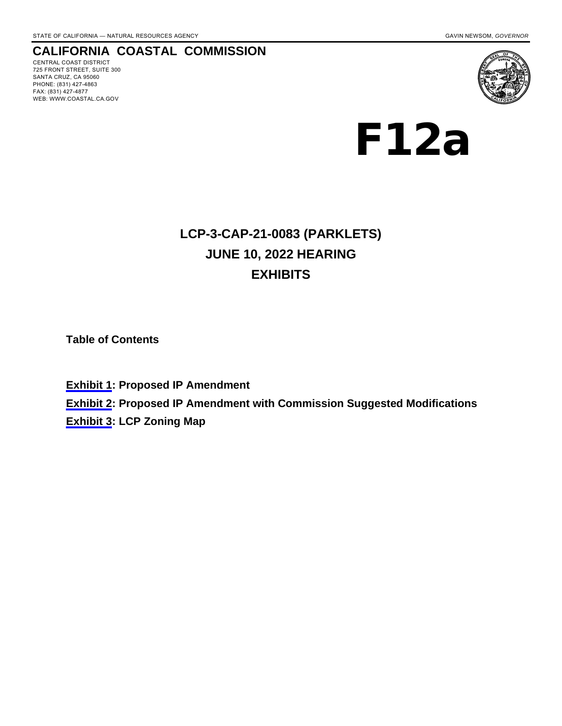# **CALIFORNIA COASTAL COMMISSION**

CENTRAL COAST DISTRICT 725 FRONT STREET, SUITE 300 SANTA CRUZ, CA 95060 PHONE: (831) 427-4863 FAX: (831) 427-4877 WEB: WWW.COASTAL.CA.GOV



F12a

# **LCP-3-CAP-21-0083 (PARKLETS) JUNE 10, 2022 HEARING EXHIBITS**

**Table of Contents**

**[Exhibit 1](#page-1-0): Proposed IP Amendment [Exhibit 2](#page-10-0): Proposed IP Amendment with Commission Suggested Modifications [Exhibit 3](#page-20-0): LCP Zoning Map**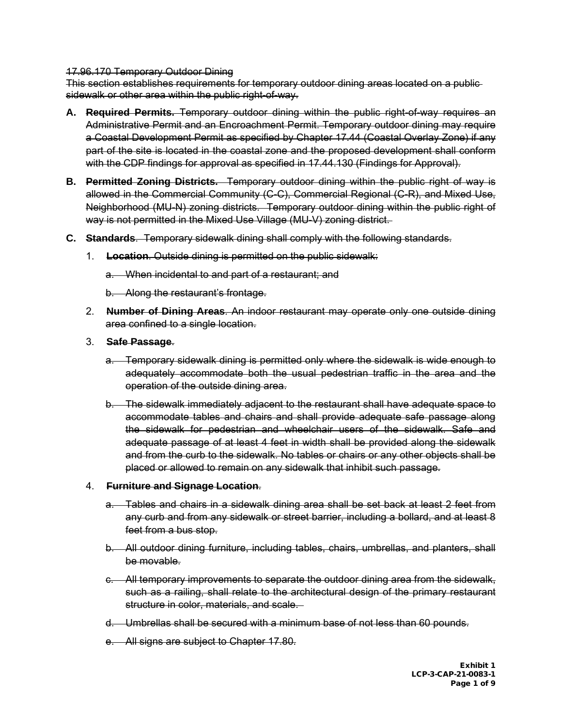#### <span id="page-1-0"></span>17.96.170 Temporary Outdoor Dining

This section establishes requirements for temporary outdoor dining areas located on a public sidewalk or other area within the public right-of-way.

- **A. Required Permits.** Temporary outdoor dining within the public right-of-way requires an Administrative Permit and an Encroachment Permit. Temporary outdoor dining may require a Coastal Development Permit as specified by Chapter 17.44 (Coastal Overlay Zone) if any part of the site is located in the coastal zone and the proposed development shall conform with the CDP findings for approval as specified in 17.44.130 (Findings for Approval).
- **B. Permitted Zoning Districts.** Temporary outdoor dining within the public right of way is allowed in the Commercial Community (C-C), Commercial Regional (C-R), and Mixed Use, Neighborhood (MU-N) zoning districts. Temporary outdoor dining within the public right of way is not permitted in the Mixed Use Village (MU-V) zoning district.
- **C. Standards**. Temporary sidewalk dining shall comply with the following standards.
	- 1. **Location**. Outside dining is permitted on the public sidewalk:
		- a. When incidental to and part of a restaurant; and
		- b. Along the restaurant's frontage.
	- 2. **Number of Dining Areas**. An indoor restaurant may operate only one outside dining area confined to a single location.
	- 3. **Safe Passage**.
		- a. Temporary sidewalk dining is permitted only where the sidewalk is wide enough to adequately accommodate both the usual pedestrian traffic in the area and the operation of the outside dining area.
		- b. The sidewalk immediately adjacent to the restaurant shall have adequate space to accommodate tables and chairs and shall provide adequate safe passage along the sidewalk for pedestrian and wheelchair users of the sidewalk. Safe and adequate passage of at least 4 feet in width shall be provided along the sidewalk and from the curb to the sidewalk. No tables or chairs or any other objects shall be placed or allowed to remain on any sidewalk that inhibit such passage.

#### 4. **Furniture and Signage Location**.

- a. Tables and chairs in a sidewalk dining area shall be set back at least 2 feet from any curb and from any sidewalk or street barrier, including a bollard, and at least 8 feet from a bus stop.
- b. All outdoor dining furniture, including tables, chairs, umbrellas, and planters, shall be movable.
- c. All temporary improvements to separate the outdoor dining area from the sidewalk, such as a railing, shall relate to the architectural design of the primary restaurant structure in color, materials, and scale.
- d. Umbrellas shall be secured with a minimum base of not less than 60 pounds.
- e. All signs are subject to Chapter 17.80.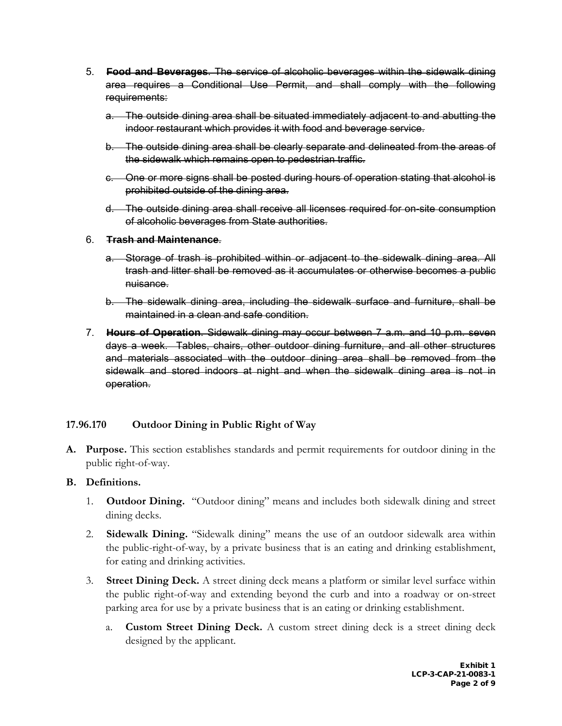- 5. **Food and Beverages**. The service of alcoholic beverages within the sidewalk dining area requires a Conditional Use Permit, and shall comply with the following requirements:
	- a. The outside dining area shall be situated immediately adjacent to and abutting the indoor restaurant which provides it with food and beverage service.
	- b. The outside dining area shall be clearly separate and delineated from the areas of the sidewalk which remains open to pedestrian traffic.
	- c. One or more signs shall be posted during hours of operation stating that alcohol is prohibited outside of the dining area.
	- d. The outside dining area shall receive all licenses required for on-site consumption of alcoholic beverages from State authorities.
- 6. **Trash and Maintenance**.
	- a. Storage of trash is prohibited within or adjacent to the sidewalk dining area. All trash and litter shall be removed as it accumulates or otherwise becomes a public nuisance.
	- b. The sidewalk dining area, including the sidewalk surface and furniture, shall be maintained in a clean and safe condition.
- 7. **Hours of Operation**. Sidewalk dining may occur between 7 a.m. and 10 p.m. seven days a week. Tables, chairs, other outdoor dining furniture, and all other structures and materials associated with the outdoor dining area shall be removed from the sidewalk and stored indoors at night and when the sidewalk dining area is not in operation.

#### **17.96.170 Outdoor Dining in Public Right of Way**

**A. Purpose.** This section establishes standards and permit requirements for outdoor dining in the public right-of-way.

#### **B. Definitions.**

- 1. **Outdoor Dining.** "Outdoor dining" means and includes both sidewalk dining and street dining decks.
- 2. **Sidewalk Dining.** "Sidewalk dining" means the use of an outdoor sidewalk area within the public-right-of-way, by a private business that is an eating and drinking establishment, for eating and drinking activities.
- 3. **Street Dining Deck.** A street dining deck means a platform or similar level surface within the public right-of-way and extending beyond the curb and into a roadway or on-street parking area for use by a private business that is an eating or drinking establishment.
	- a. **Custom Street Dining Deck.** A custom street dining deck is a street dining deck designed by the applicant.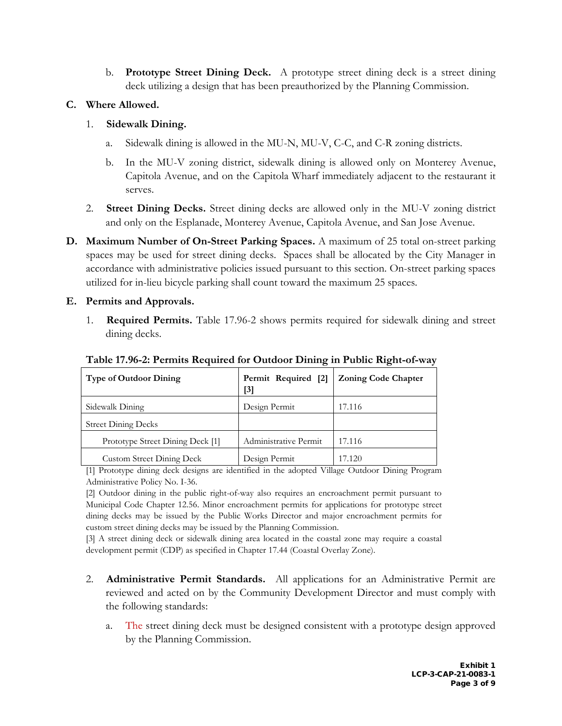b. **Prototype Street Dining Deck.** A prototype street dining deck is a street dining deck utilizing a design that has been preauthorized by the Planning Commission.

### **C. Where Allowed.**

# 1. **Sidewalk Dining.**

- a. Sidewalk dining is allowed in the MU-N, MU-V, C-C, and C-R zoning districts.
- b. In the MU-V zoning district, sidewalk dining is allowed only on Monterey Avenue, Capitola Avenue, and on the Capitola Wharf immediately adjacent to the restaurant it serves.
- 2. **Street Dining Decks.** Street dining decks are allowed only in the MU-V zoning district and only on the Esplanade, Monterey Avenue, Capitola Avenue, and San Jose Avenue.
- **D. Maximum Number of On-Street Parking Spaces.** A maximum of 25 total on-street parking spaces may be used for street dining decks. Spaces shall be allocated by the City Manager in accordance with administrative policies issued pursuant to this section. On-street parking spaces utilized for in-lieu bicycle parking shall count toward the maximum 25 spaces.

### **E. Permits and Approvals.**

1. **Required Permits.** Table 17.96-2 shows permits required for sidewalk dining and street dining decks.

| <b>Type of Outdoor Dining</b>    | Permit Required [2]<br>[3] | <b>Zoning Code Chapter</b> |
|----------------------------------|----------------------------|----------------------------|
| Sidewalk Dining                  | Design Permit              | 17.116                     |
| <b>Street Dining Decks</b>       |                            |                            |
| Prototype Street Dining Deck [1] | Administrative Permit      | 17.116                     |
| <b>Custom Street Dining Deck</b> | Design Permit              | 17.120                     |

# **Table 17.96-2: Permits Required for Outdoor Dining in Public Right-of-way**

[1] Prototype dining deck designs are identified in the adopted Village Outdoor Dining Program Administrative Policy No. I-36.

[2] Outdoor dining in the public right-of-way also requires an encroachment permit pursuant to Municipal Code Chapter 12.56. Minor encroachment permits for applications for prototype street dining decks may be issued by the Public Works Director and major encroachment permits for custom street dining decks may be issued by the Planning Commission.

[3] A street dining deck or sidewalk dining area located in the coastal zone may require a coastal development permit (CDP) as specified in Chapter 17.44 (Coastal Overlay Zone).

- 2. **Administrative Permit Standards.** All applications for an Administrative Permit are reviewed and acted on by the Community Development Director and must comply with the following standards:
	- a. The street dining deck must be designed consistent with a prototype design approved by the Planning Commission.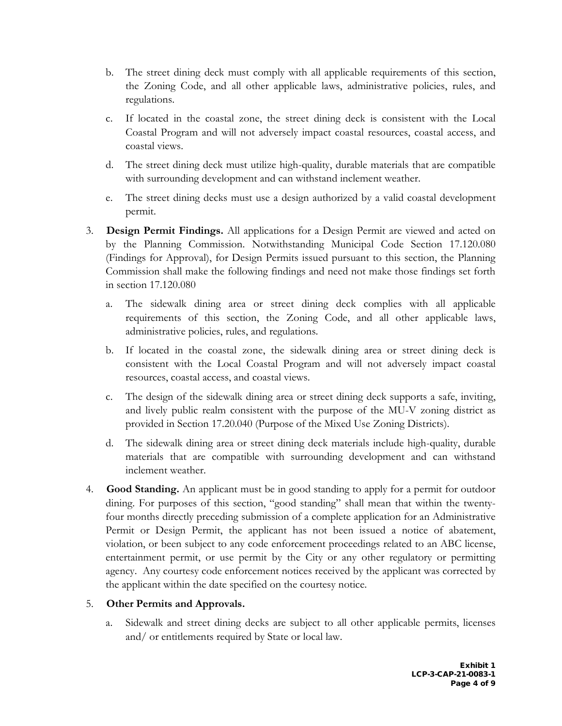- b. The street dining deck must comply with all applicable requirements of this section, the Zoning Code, and all other applicable laws, administrative policies, rules, and regulations.
- c. If located in the coastal zone, the street dining deck is consistent with the Local Coastal Program and will not adversely impact coastal resources, coastal access, and coastal views.
- d. The street dining deck must utilize high-quality, durable materials that are compatible with surrounding development and can withstand inclement weather.
- e. The street dining decks must use a design authorized by a valid coastal development permit.
- 3. **Design Permit Findings.** All applications for a Design Permit are viewed and acted on by the Planning Commission. Notwithstanding Municipal Code Section 17.120.080 (Findings for Approval), for Design Permits issued pursuant to this section, the Planning Commission shall make the following findings and need not make those findings set forth in section 17.120.080
	- a. The sidewalk dining area or street dining deck complies with all applicable requirements of this section, the Zoning Code, and all other applicable laws, administrative policies, rules, and regulations.
	- b. If located in the coastal zone, the sidewalk dining area or street dining deck is consistent with the Local Coastal Program and will not adversely impact coastal resources, coastal access, and coastal views.
	- c. The design of the sidewalk dining area or street dining deck supports a safe, inviting, and lively public realm consistent with the purpose of the MU-V zoning district as provided in Section 17.20.040 (Purpose of the Mixed Use Zoning Districts).
	- d. The sidewalk dining area or street dining deck materials include high-quality, durable materials that are compatible with surrounding development and can withstand inclement weather.
- 4. **Good Standing.** An applicant must be in good standing to apply for a permit for outdoor dining. For purposes of this section, "good standing" shall mean that within the twentyfour months directly preceding submission of a complete application for an Administrative Permit or Design Permit, the applicant has not been issued a notice of abatement, violation, or been subject to any code enforcement proceedings related to an ABC license, entertainment permit, or use permit by the City or any other regulatory or permitting agency. Any courtesy code enforcement notices received by the applicant was corrected by the applicant within the date specified on the courtesy notice.

# 5. **Other Permits and Approvals.**

a. Sidewalk and street dining decks are subject to all other applicable permits, licenses and/ or entitlements required by State or local law.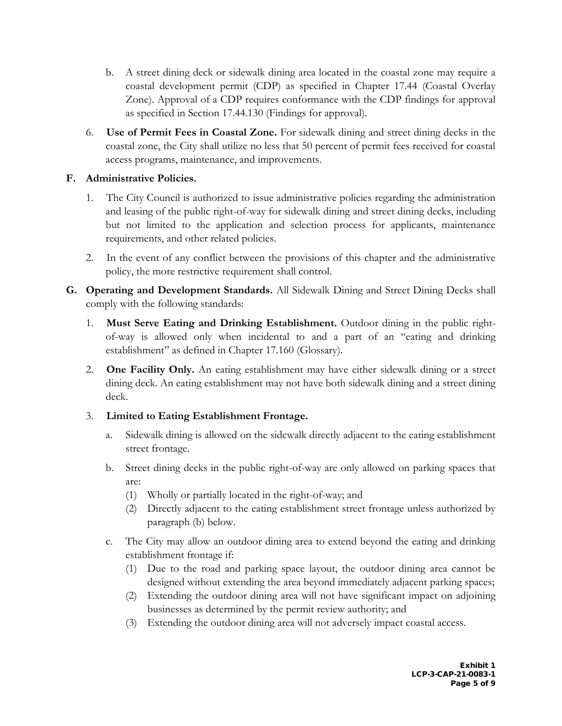- b. A street dining deck or sidewalk dining area located in the coastal zone may require a coastal development permit (CDP) as specified in Chapter 17.44 (Coastal Overlay Zone). Approval of a CDP requires conformance with the CDP findings for approval as specified in Section 17.44.130 (Findings for approval).
- 6. **Use of Permit Fees in Coastal Zone.** For sidewalk dining and street dining decks in the coastal zone, the City shall utilize no less that 50 percent of permit fees received for coastal access programs, maintenance, and improvements.

### **F. Administrative Policies.**

- 1. The City Council is authorized to issue administrative policies regarding the administration and leasing of the public right-of-way for sidewalk dining and street dining decks, including but not limited to the application and selection process for applicants, maintenance requirements, and other related policies.
- 2. In the event of any conflict between the provisions of this chapter and the administrative policy, the more restrictive requirement shall control.
- **G. Operating and Development Standards.** All Sidewalk Dining and Street Dining Decks shall comply with the following standards:
	- 1. **Must Serve Eating and Drinking Establishment.** Outdoor dining in the public rightof-way is allowed only when incidental to and a part of an "eating and drinking establishment" as defined in Chapter 17.160 (Glossary).
	- 2. **One Facility Only.** An eating establishment may have either sidewalk dining or a street dining deck. An eating establishment may not have both sidewalk dining and a street dining deck.

# 3. **Limited to Eating Establishment Frontage.**

- a. Sidewalk dining is allowed on the sidewalk directly adjacent to the eating establishment street frontage.
- b. Street dining decks in the public right-of-way are only allowed on parking spaces that are:
	- (1) Wholly or partially located in the right-of-way; and
	- (2) Directly adjacent to the eating establishment street frontage unless authorized by paragraph (b) below.
- c. The City may allow an outdoor dining area to extend beyond the eating and drinking establishment frontage if:
	- (1) Due to the road and parking space layout, the outdoor dining area cannot be designed without extending the area beyond immediately adjacent parking spaces;
	- (2) Extending the outdoor dining area will not have significant impact on adjoining businesses as determined by the permit review authority; and
	- (3) Extending the outdoor dining area will not adversely impact coastal access.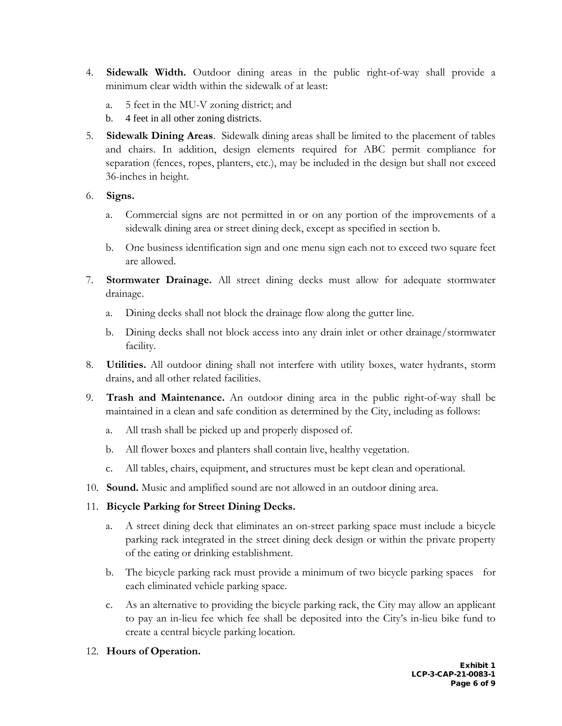- 4. **Sidewalk Width.** Outdoor dining areas in the public right-of-way shall provide a minimum clear width within the sidewalk of at least:
	- a. 5 feet in the MU-V zoning district; and
	- b. 4 feet in all other zoning districts.
- 5. **Sidewalk Dining Areas**. Sidewalk dining areas shall be limited to the placement of tables and chairs. In addition, design elements required for ABC permit compliance for separation (fences, ropes, planters, etc.), may be included in the design but shall not exceed 36-inches in height.
- 6. **Signs.**
	- a. Commercial signs are not permitted in or on any portion of the improvements of a sidewalk dining area or street dining deck, except as specified in section b.
	- b. One business identification sign and one menu sign each not to exceed two square feet are allowed.
- 7. **Stormwater Drainage.** All street dining decks must allow for adequate stormwater drainage.
	- a. Dining decks shall not block the drainage flow along the gutter line.
	- b. Dining decks shall not block access into any drain inlet or other drainage/stormwater facility.
- 8. **Utilities.** All outdoor dining shall not interfere with utility boxes, water hydrants, storm drains, and all other related facilities.
- 9. **Trash and Maintenance.** An outdoor dining area in the public right-of-way shall be maintained in a clean and safe condition as determined by the City, including as follows:
	- a. All trash shall be picked up and properly disposed of.
	- b. All flower boxes and planters shall contain live, healthy vegetation.
	- c. All tables, chairs, equipment, and structures must be kept clean and operational.
- 10. **Sound.** Music and amplified sound are not allowed in an outdoor dining area.

# 11. **Bicycle Parking for Street Dining Decks.**

- a. A street dining deck that eliminates an on-street parking space must include a bicycle parking rack integrated in the street dining deck design or within the private property of the eating or drinking establishment.
- b. The bicycle parking rack must provide a minimum of two bicycle parking spaces for each eliminated vehicle parking space.
- c. As an alternative to providing the bicycle parking rack, the City may allow an applicant to pay an in-lieu fee which fee shall be deposited into the City's in-lieu bike fund to create a central bicycle parking location.

# 12. **Hours of Operation.**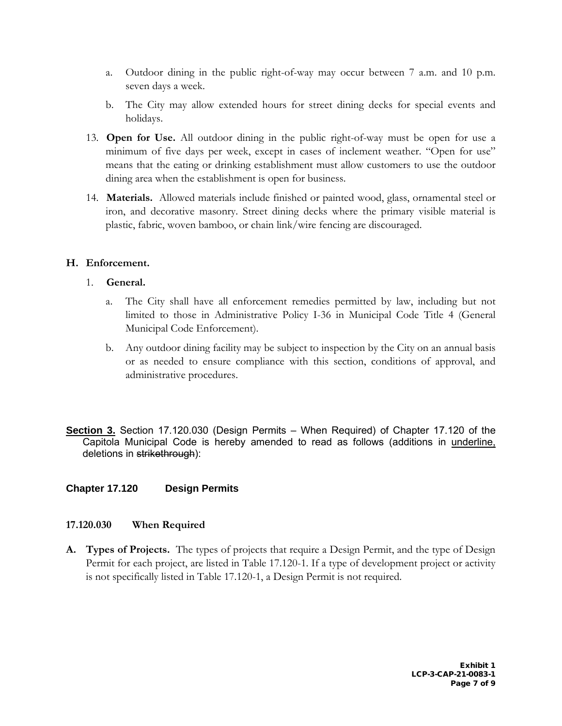- a. Outdoor dining in the public right-of-way may occur between 7 a.m. and 10 p.m. seven days a week.
- b. The City may allow extended hours for street dining decks for special events and holidays.
- 13. **Open for Use.** All outdoor dining in the public right-of-way must be open for use a minimum of five days per week, except in cases of inclement weather. "Open for use" means that the eating or drinking establishment must allow customers to use the outdoor dining area when the establishment is open for business.
- 14. **Materials.** Allowed materials include finished or painted wood, glass, ornamental steel or iron, and decorative masonry. Street dining decks where the primary visible material is plastic, fabric, woven bamboo, or chain link/wire fencing are discouraged.

### **H. Enforcement.**

### 1. **General.**

- a. The City shall have all enforcement remedies permitted by law, including but not limited to those in Administrative Policy I-36 in Municipal Code Title 4 (General Municipal Code Enforcement).
- b. Any outdoor dining facility may be subject to inspection by the City on an annual basis or as needed to ensure compliance with this section, conditions of approval, and administrative procedures.
- **Section 3.** Section 17.120.030 (Design Permits When Required) of Chapter 17.120 of the Capitola Municipal Code is hereby amended to read as follows (additions in underline, deletions in strikethrough):

### **Chapter 17.120 Design Permits**

#### **17.120.030 When Required**

**A. Types of Projects.** The types of projects that require a Design Permit, and the type of Design Permit for each project, are listed in Table 17.120-1. If a type of development project or activity is not specifically listed in Table 17.120-1, a Design Permit is not required.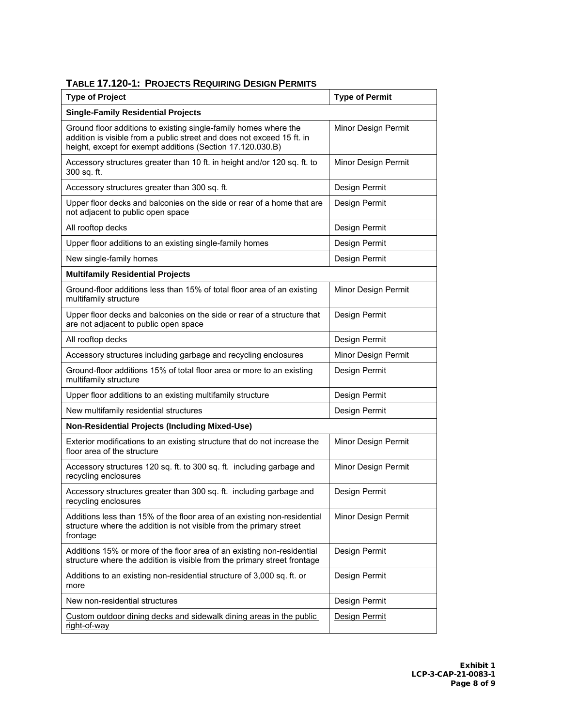| <b>TABLE 17.120-1: PROJECTS REQUIRING DESIGN PERMITS</b> |  |  |  |  |
|----------------------------------------------------------|--|--|--|--|
|----------------------------------------------------------|--|--|--|--|

| <b>Type of Project</b>                                                                                                                                                                                   | <b>Type of Permit</b> |  |
|----------------------------------------------------------------------------------------------------------------------------------------------------------------------------------------------------------|-----------------------|--|
| <b>Single-Family Residential Projects</b>                                                                                                                                                                |                       |  |
| Ground floor additions to existing single-family homes where the<br>addition is visible from a public street and does not exceed 15 ft. in<br>height, except for exempt additions (Section 17.120.030.B) | Minor Design Permit   |  |
| Accessory structures greater than 10 ft. in height and/or 120 sq. ft. to<br>300 sq. ft.                                                                                                                  | Minor Design Permit   |  |
| Accessory structures greater than 300 sq. ft.                                                                                                                                                            | Design Permit         |  |
| Upper floor decks and balconies on the side or rear of a home that are<br>not adjacent to public open space                                                                                              | Design Permit         |  |
| All rooftop decks                                                                                                                                                                                        | Design Permit         |  |
| Upper floor additions to an existing single-family homes                                                                                                                                                 | Design Permit         |  |
| New single-family homes                                                                                                                                                                                  | Design Permit         |  |
| <b>Multifamily Residential Projects</b>                                                                                                                                                                  |                       |  |
| Ground-floor additions less than 15% of total floor area of an existing<br>multifamily structure                                                                                                         | Minor Design Permit   |  |
| Upper floor decks and balconies on the side or rear of a structure that<br>are not adjacent to public open space                                                                                         | Design Permit         |  |
| All rooftop decks                                                                                                                                                                                        | Design Permit         |  |
| Accessory structures including garbage and recycling enclosures                                                                                                                                          | Minor Design Permit   |  |
| Ground-floor additions 15% of total floor area or more to an existing<br>multifamily structure                                                                                                           | Design Permit         |  |
| Upper floor additions to an existing multifamily structure                                                                                                                                               | Design Permit         |  |
| New multifamily residential structures                                                                                                                                                                   | Design Permit         |  |
| <b>Non-Residential Projects (Including Mixed-Use)</b>                                                                                                                                                    |                       |  |
| Exterior modifications to an existing structure that do not increase the<br>floor area of the structure                                                                                                  | Minor Design Permit   |  |
| Accessory structures 120 sq. ft. to 300 sq. ft. including garbage and<br>recycling enclosures                                                                                                            | Minor Design Permit   |  |
| Accessory structures greater than 300 sq. ft. including garbage and<br>recycling enclosures                                                                                                              | Design Permit         |  |
| Additions less than 15% of the floor area of an existing non-residential<br>structure where the addition is not visible from the primary street<br>frontage                                              | Minor Design Permit   |  |
| Additions 15% or more of the floor area of an existing non-residential<br>structure where the addition is visible from the primary street frontage                                                       | Design Permit         |  |
| Additions to an existing non-residential structure of 3,000 sq. ft. or<br>more                                                                                                                           | Design Permit         |  |
| New non-residential structures                                                                                                                                                                           | Design Permit         |  |
| Custom outdoor dining decks and sidewalk dining areas in the public<br>right-of-way                                                                                                                      | <u>Design Permit</u>  |  |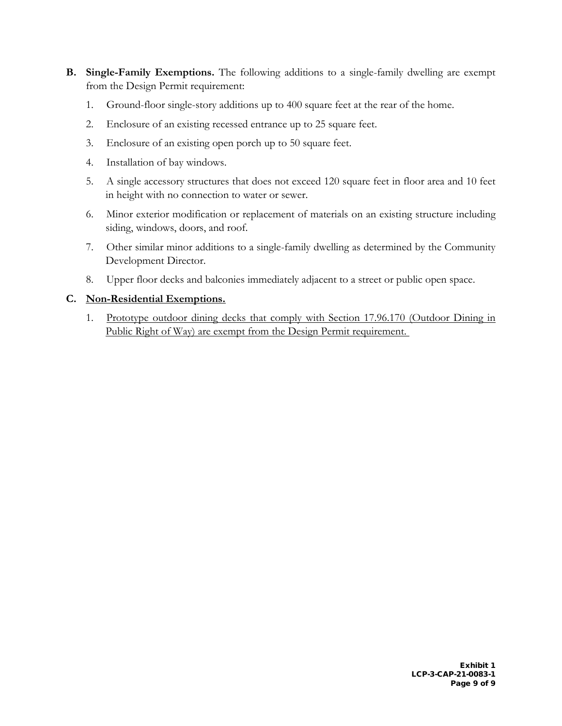- **B. Single-Family Exemptions.** The following additions to a single-family dwelling are exempt from the Design Permit requirement:
	- 1. Ground-floor single-story additions up to 400 square feet at the rear of the home.
	- 2. Enclosure of an existing recessed entrance up to 25 square feet.
	- 3. Enclosure of an existing open porch up to 50 square feet.
	- 4. Installation of bay windows.
	- 5. A single accessory structures that does not exceed 120 square feet in floor area and 10 feet in height with no connection to water or sewer.
	- 6. Minor exterior modification or replacement of materials on an existing structure including siding, windows, doors, and roof.
	- 7. Other similar minor additions to a single-family dwelling as determined by the Community Development Director.
	- 8. Upper floor decks and balconies immediately adjacent to a street or public open space.

### **C. Non-Residential Exemptions.**

1. Prototype outdoor dining decks that comply with Section 17.96.170 (Outdoor Dining in Public Right of Way) are exempt from the Design Permit requirement.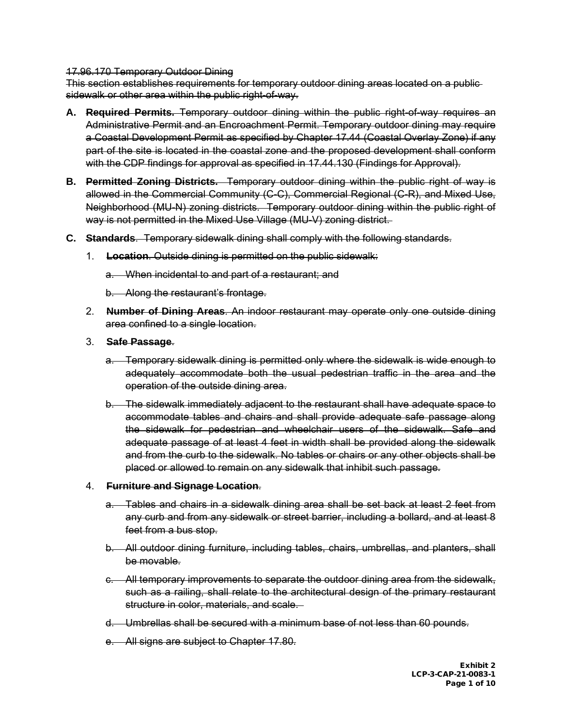#### <span id="page-10-0"></span>17.96.170 Temporary Outdoor Dining

This section establishes requirements for temporary outdoor dining areas located on a public sidewalk or other area within the public right-of-way.

- **A. Required Permits.** Temporary outdoor dining within the public right-of-way requires an Administrative Permit and an Encroachment Permit. Temporary outdoor dining may require a Coastal Development Permit as specified by Chapter 17.44 (Coastal Overlay Zone) if any part of the site is located in the coastal zone and the proposed development shall conform with the CDP findings for approval as specified in 17.44.130 (Findings for Approval).
- **B. Permitted Zoning Districts.** Temporary outdoor dining within the public right of way is allowed in the Commercial Community (C-C), Commercial Regional (C-R), and Mixed Use, Neighborhood (MU-N) zoning districts. Temporary outdoor dining within the public right of way is not permitted in the Mixed Use Village (MU-V) zoning district.
- **C. Standards**. Temporary sidewalk dining shall comply with the following standards.
	- 1. **Location**. Outside dining is permitted on the public sidewalk:
		- a. When incidental to and part of a restaurant; and
		- b. Along the restaurant's frontage.
	- 2. **Number of Dining Areas**. An indoor restaurant may operate only one outside dining area confined to a single location.
	- 3. **Safe Passage**.
		- a. Temporary sidewalk dining is permitted only where the sidewalk is wide enough to adequately accommodate both the usual pedestrian traffic in the area and the operation of the outside dining area.
		- b. The sidewalk immediately adjacent to the restaurant shall have adequate space to accommodate tables and chairs and shall provide adequate safe passage along the sidewalk for pedestrian and wheelchair users of the sidewalk. Safe and adequate passage of at least 4 feet in width shall be provided along the sidewalk and from the curb to the sidewalk. No tables or chairs or any other objects shall be placed or allowed to remain on any sidewalk that inhibit such passage.

#### 4. **Furniture and Signage Location**.

- a. Tables and chairs in a sidewalk dining area shall be set back at least 2 feet from any curb and from any sidewalk or street barrier, including a bollard, and at least 8 feet from a bus stop.
- b. All outdoor dining furniture, including tables, chairs, umbrellas, and planters, shall be movable.
- c. All temporary improvements to separate the outdoor dining area from the sidewalk, such as a railing, shall relate to the architectural design of the primary restaurant structure in color, materials, and scale.
- d. Umbrellas shall be secured with a minimum base of not less than 60 pounds.
- e. All signs are subject to Chapter 17.80.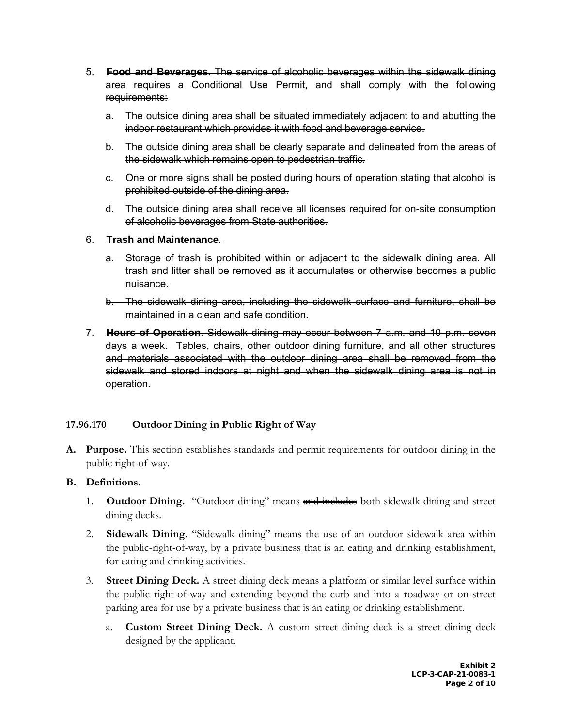- 5. **Food and Beverages**. The service of alcoholic beverages within the sidewalk dining area requires a Conditional Use Permit, and shall comply with the following requirements:
	- a. The outside dining area shall be situated immediately adjacent to and abutting the indoor restaurant which provides it with food and beverage service.
	- b. The outside dining area shall be clearly separate and delineated from the areas of the sidewalk which remains open to pedestrian traffic.
	- c. One or more signs shall be posted during hours of operation stating that alcohol is prohibited outside of the dining area.
	- d. The outside dining area shall receive all licenses required for on-site consumption of alcoholic beverages from State authorities.
- 6. **Trash and Maintenance**.
	- a. Storage of trash is prohibited within or adjacent to the sidewalk dining area. All trash and litter shall be removed as it accumulates or otherwise becomes a public nuisance.
	- b. The sidewalk dining area, including the sidewalk surface and furniture, shall be maintained in a clean and safe condition.
- 7. **Hours of Operation**. Sidewalk dining may occur between 7 a.m. and 10 p.m. seven days a week. Tables, chairs, other outdoor dining furniture, and all other structures and materials associated with the outdoor dining area shall be removed from the sidewalk and stored indoors at night and when the sidewalk dining area is not in operation.

#### **17.96.170 Outdoor Dining in Public Right of Way**

**A. Purpose.** This section establishes standards and permit requirements for outdoor dining in the public right-of-way.

#### **B. Definitions.**

- 1. **Outdoor Dining.** "Outdoor dining" means and includes both sidewalk dining and street dining decks.
- 2. **Sidewalk Dining.** "Sidewalk dining" means the use of an outdoor sidewalk area within the public-right-of-way, by a private business that is an eating and drinking establishment, for eating and drinking activities.
- 3. **Street Dining Deck.** A street dining deck means a platform or similar level surface within the public right-of-way and extending beyond the curb and into a roadway or on-street parking area for use by a private business that is an eating or drinking establishment.
	- a. **Custom Street Dining Deck.** A custom street dining deck is a street dining deck designed by the applicant.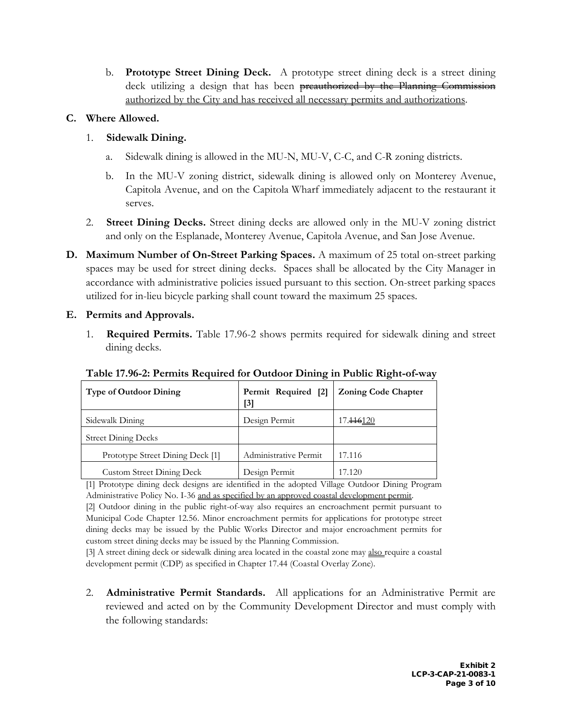b. **Prototype Street Dining Deck.** A prototype street dining deck is a street dining deck utilizing a design that has been preauthorized by the Planning Commission authorized by the City and has received all necessary permits and authorizations.

### **C. Where Allowed.**

# 1. **Sidewalk Dining.**

- a. Sidewalk dining is allowed in the MU-N, MU-V, C-C, and C-R zoning districts.
- b. In the MU-V zoning district, sidewalk dining is allowed only on Monterey Avenue, Capitola Avenue, and on the Capitola Wharf immediately adjacent to the restaurant it serves.
- 2. **Street Dining Decks.** Street dining decks are allowed only in the MU-V zoning district and only on the Esplanade, Monterey Avenue, Capitola Avenue, and San Jose Avenue.
- **D. Maximum Number of On-Street Parking Spaces.** A maximum of 25 total on-street parking spaces may be used for street dining decks. Spaces shall be allocated by the City Manager in accordance with administrative policies issued pursuant to this section. On-street parking spaces utilized for in-lieu bicycle parking shall count toward the maximum 25 spaces.

# **E. Permits and Approvals.**

1. **Required Permits.** Table 17.96-2 shows permits required for sidewalk dining and street dining decks.

| <b>Type of Outdoor Dining</b>    | Permit Required [2]<br>$\left[3\right]$ | <b>Zoning Code Chapter</b> |
|----------------------------------|-----------------------------------------|----------------------------|
| Sidewalk Dining                  | Design Permit                           | 17. <del>116</del> 120     |
| <b>Street Dining Decks</b>       |                                         |                            |
| Prototype Street Dining Deck [1] | Administrative Permit                   | 17.116                     |
| <b>Custom Street Dining Deck</b> | Design Permit                           | 17.120                     |

# **Table 17.96-2: Permits Required for Outdoor Dining in Public Right-of-way**

[1] Prototype dining deck designs are identified in the adopted Village Outdoor Dining Program Administrative Policy No. I-36 and as specified by an approved coastal development permit.

[2] Outdoor dining in the public right-of-way also requires an encroachment permit pursuant to Municipal Code Chapter 12.56. Minor encroachment permits for applications for prototype street dining decks may be issued by the Public Works Director and major encroachment permits for custom street dining decks may be issued by the Planning Commission.

[3] A street dining deck or sidewalk dining area located in the coastal zone may also require a coastal development permit (CDP) as specified in Chapter 17.44 (Coastal Overlay Zone).

2. **Administrative Permit Standards.** All applications for an Administrative Permit are reviewed and acted on by the Community Development Director and must comply with the following standards: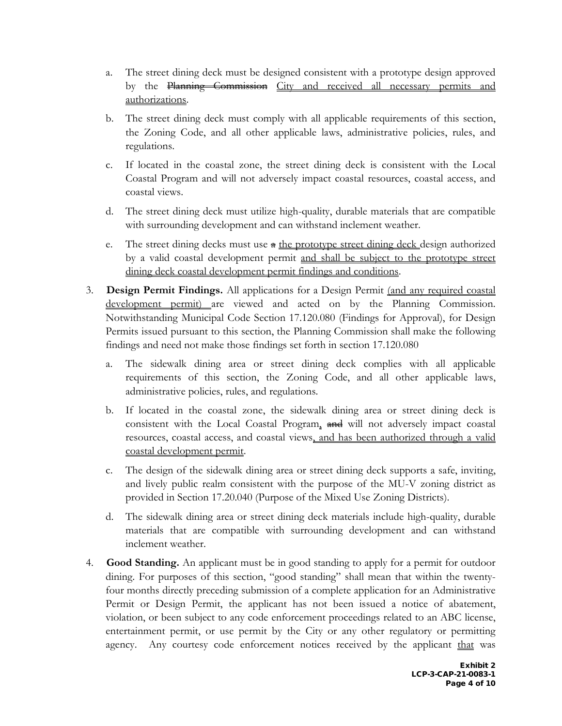- a. The street dining deck must be designed consistent with a prototype design approved by the Planning Commission City and received all necessary permits and authorizations.
- b. The street dining deck must comply with all applicable requirements of this section, the Zoning Code, and all other applicable laws, administrative policies, rules, and regulations.
- c. If located in the coastal zone, the street dining deck is consistent with the Local Coastal Program and will not adversely impact coastal resources, coastal access, and coastal views.
- d. The street dining deck must utilize high-quality, durable materials that are compatible with surrounding development and can withstand inclement weather.
- e. The street dining decks must use  $\ast$  the prototype street dining deck design authorized by a valid coastal development permit and shall be subject to the prototype street dining deck coastal development permit findings and conditions.
- 3. **Design Permit Findings.** All applications for a Design Permit (and any required coastal development permit) are viewed and acted on by the Planning Commission. Notwithstanding Municipal Code Section 17.120.080 (Findings for Approval), for Design Permits issued pursuant to this section, the Planning Commission shall make the following findings and need not make those findings set forth in section 17.120.080
	- a. The sidewalk dining area or street dining deck complies with all applicable requirements of this section, the Zoning Code, and all other applicable laws, administrative policies, rules, and regulations.
	- b. If located in the coastal zone, the sidewalk dining area or street dining deck is consistent with the Local Coastal Program, and will not adversely impact coastal resources, coastal access, and coastal views, and has been authorized through a valid coastal development permit.
	- c. The design of the sidewalk dining area or street dining deck supports a safe, inviting, and lively public realm consistent with the purpose of the MU-V zoning district as provided in Section 17.20.040 (Purpose of the Mixed Use Zoning Districts).
	- d. The sidewalk dining area or street dining deck materials include high-quality, durable materials that are compatible with surrounding development and can withstand inclement weather.
- 4. **Good Standing.** An applicant must be in good standing to apply for a permit for outdoor dining. For purposes of this section, "good standing" shall mean that within the twentyfour months directly preceding submission of a complete application for an Administrative Permit or Design Permit, the applicant has not been issued a notice of abatement, violation, or been subject to any code enforcement proceedings related to an ABC license, entertainment permit, or use permit by the City or any other regulatory or permitting agency. Any courtesy code enforcement notices received by the applicant that was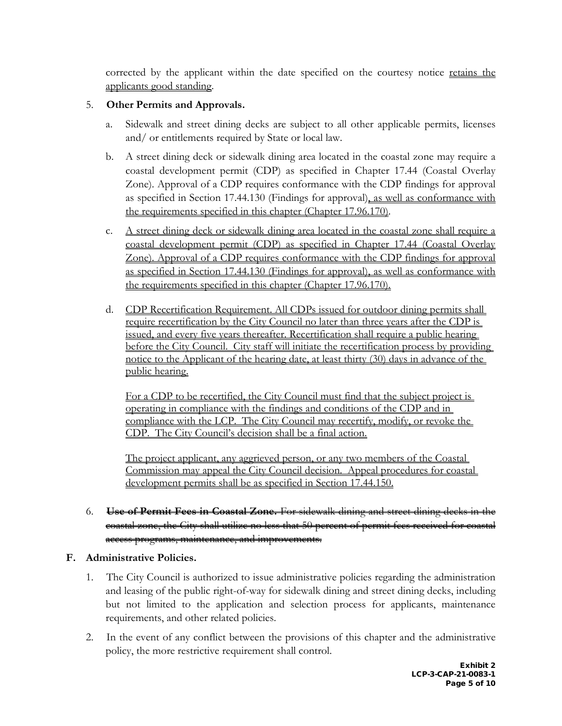corrected by the applicant within the date specified on the courtesy notice retains the applicants good standing.

# 5. **Other Permits and Approvals.**

- a. Sidewalk and street dining decks are subject to all other applicable permits, licenses and/ or entitlements required by State or local law.
- b. A street dining deck or sidewalk dining area located in the coastal zone may require a coastal development permit (CDP) as specified in Chapter 17.44 (Coastal Overlay Zone). Approval of a CDP requires conformance with the CDP findings for approval as specified in Section 17.44.130 (Findings for approval), as well as conformance with the requirements specified in this chapter (Chapter 17.96.170).
- c. A street dining deck or sidewalk dining area located in the coastal zone shall require a coastal development permit (CDP) as specified in Chapter 17.44 (Coastal Overlay Zone). Approval of a CDP requires conformance with the CDP findings for approval as specified in Section 17.44.130 (Findings for approval), as well as conformance with the requirements specified in this chapter (Chapter 17.96.170).
- d. CDP Recertification Requirement. All CDPs issued for outdoor dining permits shall require recertification by the City Council no later than three years after the CDP is issued, and every five years thereafter. Recertification shall require a public hearing before the City Council. City staff will initiate the recertification process by providing notice to the Applicant of the hearing date, at least thirty (30) days in advance of the public hearing.

For a CDP to be recertified, the City Council must find that the subject project is operating in compliance with the findings and conditions of the CDP and in compliance with the LCP. The City Council may recertify, modify, or revoke the CDP. The City Council's decision shall be a final action.

The project applicant, any aggrieved person, or any two members of the Coastal Commission may appeal the City Council decision. Appeal procedures for coastal development permits shall be as specified in Section 17.44.150.

6. **Use of Permit Fees in Coastal Zone.** For sidewalk dining and street dining decks in the coastal zone, the City shall utilize no less that 50 percent of permit fees received for coastal access programs, maintenance, and improvements.

### **F. Administrative Policies.**

- 1. The City Council is authorized to issue administrative policies regarding the administration and leasing of the public right-of-way for sidewalk dining and street dining decks, including but not limited to the application and selection process for applicants, maintenance requirements, and other related policies.
- 2. In the event of any conflict between the provisions of this chapter and the administrative policy, the more restrictive requirement shall control.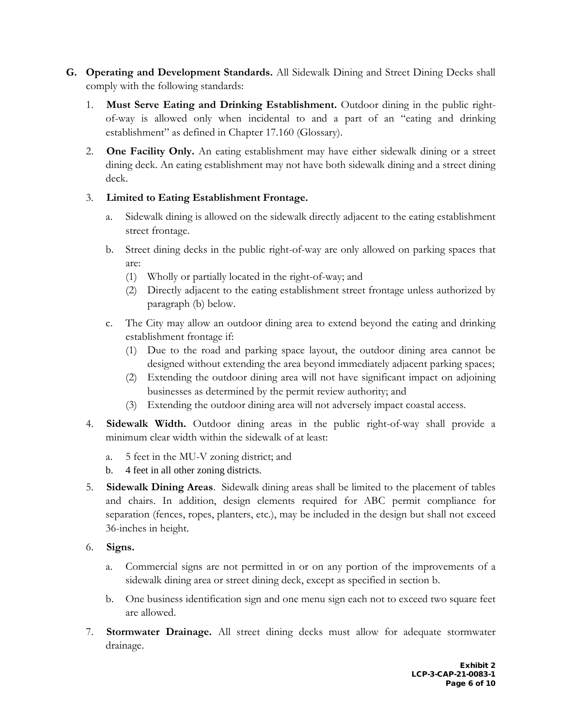- **G. Operating and Development Standards.** All Sidewalk Dining and Street Dining Decks shall comply with the following standards:
	- 1. **Must Serve Eating and Drinking Establishment.** Outdoor dining in the public rightof-way is allowed only when incidental to and a part of an "eating and drinking establishment" as defined in Chapter 17.160 (Glossary).
	- 2. **One Facility Only.** An eating establishment may have either sidewalk dining or a street dining deck. An eating establishment may not have both sidewalk dining and a street dining deck.

# 3. **Limited to Eating Establishment Frontage.**

- a. Sidewalk dining is allowed on the sidewalk directly adjacent to the eating establishment street frontage.
- b. Street dining decks in the public right-of-way are only allowed on parking spaces that are:
	- (1) Wholly or partially located in the right-of-way; and
	- (2) Directly adjacent to the eating establishment street frontage unless authorized by paragraph (b) below.
- c. The City may allow an outdoor dining area to extend beyond the eating and drinking establishment frontage if:
	- (1) Due to the road and parking space layout, the outdoor dining area cannot be designed without extending the area beyond immediately adjacent parking spaces;
	- (2) Extending the outdoor dining area will not have significant impact on adjoining businesses as determined by the permit review authority; and
	- (3) Extending the outdoor dining area will not adversely impact coastal access.
- 4. **Sidewalk Width.** Outdoor dining areas in the public right-of-way shall provide a minimum clear width within the sidewalk of at least:
	- a. 5 feet in the MU-V zoning district; and
	- b. 4 feet in all other zoning districts.
- 5. **Sidewalk Dining Areas**. Sidewalk dining areas shall be limited to the placement of tables and chairs. In addition, design elements required for ABC permit compliance for separation (fences, ropes, planters, etc.), may be included in the design but shall not exceed 36-inches in height.
- 6. **Signs.**
	- a. Commercial signs are not permitted in or on any portion of the improvements of a sidewalk dining area or street dining deck, except as specified in section b.
	- b. One business identification sign and one menu sign each not to exceed two square feet are allowed.
- 7. **Stormwater Drainage.** All street dining decks must allow for adequate stormwater drainage.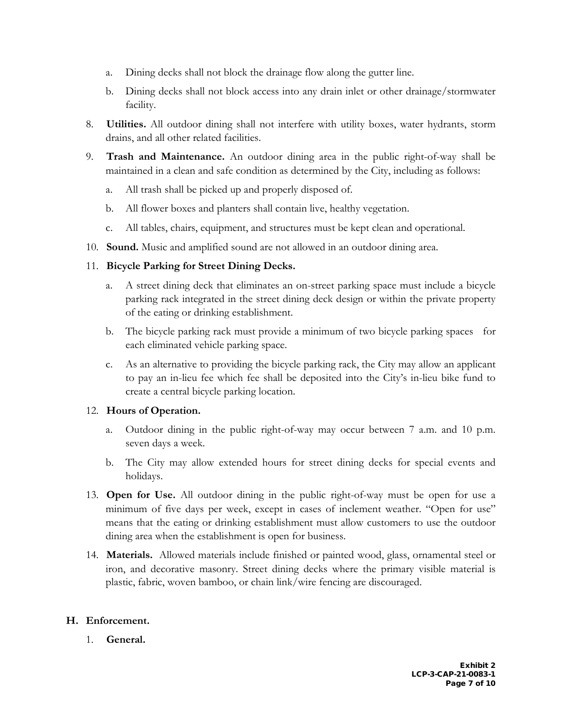- a. Dining decks shall not block the drainage flow along the gutter line.
- b. Dining decks shall not block access into any drain inlet or other drainage/stormwater facility.
- 8. **Utilities.** All outdoor dining shall not interfere with utility boxes, water hydrants, storm drains, and all other related facilities.
- 9. **Trash and Maintenance.** An outdoor dining area in the public right-of-way shall be maintained in a clean and safe condition as determined by the City, including as follows:
	- a. All trash shall be picked up and properly disposed of.
	- b. All flower boxes and planters shall contain live, healthy vegetation.
	- c. All tables, chairs, equipment, and structures must be kept clean and operational.
- 10. **Sound.** Music and amplified sound are not allowed in an outdoor dining area.

# 11. **Bicycle Parking for Street Dining Decks.**

- a. A street dining deck that eliminates an on-street parking space must include a bicycle parking rack integrated in the street dining deck design or within the private property of the eating or drinking establishment.
- b. The bicycle parking rack must provide a minimum of two bicycle parking spaces for each eliminated vehicle parking space.
- c. As an alternative to providing the bicycle parking rack, the City may allow an applicant to pay an in-lieu fee which fee shall be deposited into the City's in-lieu bike fund to create a central bicycle parking location.

# 12. **Hours of Operation.**

- a. Outdoor dining in the public right-of-way may occur between 7 a.m. and 10 p.m. seven days a week.
- b. The City may allow extended hours for street dining decks for special events and holidays.
- 13. **Open for Use.** All outdoor dining in the public right-of-way must be open for use a minimum of five days per week, except in cases of inclement weather. "Open for use" means that the eating or drinking establishment must allow customers to use the outdoor dining area when the establishment is open for business.
- 14. **Materials.** Allowed materials include finished or painted wood, glass, ornamental steel or iron, and decorative masonry. Street dining decks where the primary visible material is plastic, fabric, woven bamboo, or chain link/wire fencing are discouraged.

### **H. Enforcement.**

1. **General.**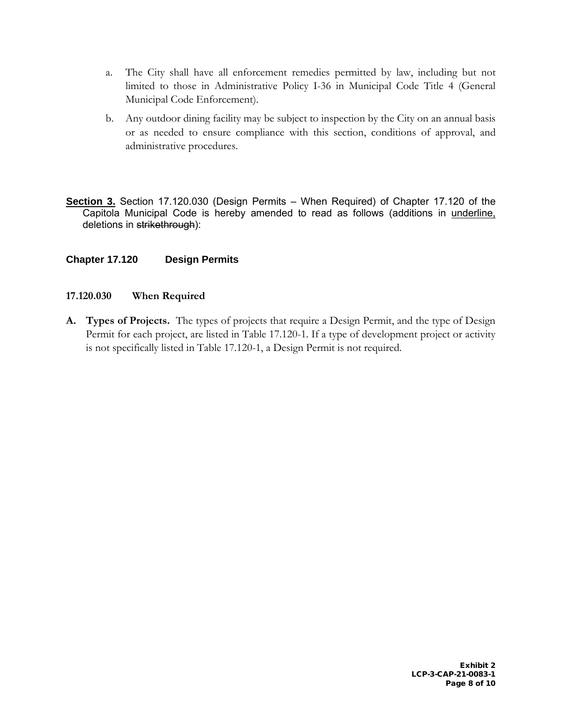- a. The City shall have all enforcement remedies permitted by law, including but not limited to those in Administrative Policy I-36 in Municipal Code Title 4 (General Municipal Code Enforcement).
- b. Any outdoor dining facility may be subject to inspection by the City on an annual basis or as needed to ensure compliance with this section, conditions of approval, and administrative procedures.
- **Section 3.** Section 17.120.030 (Design Permits When Required) of Chapter 17.120 of the Capitola Municipal Code is hereby amended to read as follows (additions in underline, deletions in strikethrough):

# **Chapter 17.120 Design Permits**

### **17.120.030 When Required**

**A. Types of Projects.** The types of projects that require a Design Permit, and the type of Design Permit for each project, are listed in Table 17.120-1. If a type of development project or activity is not specifically listed in Table 17.120-1, a Design Permit is not required.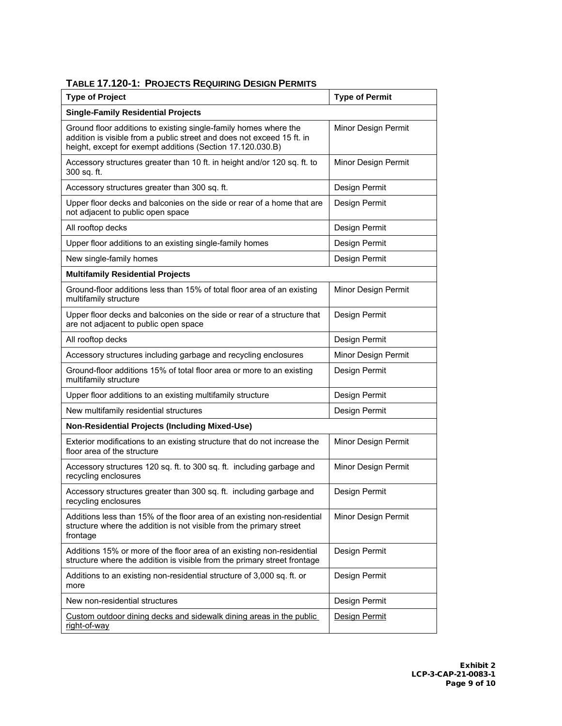| <b>TABLE 17.120-1: PROJECTS REQUIRING DESIGN PERMITS</b> |  |  |  |  |
|----------------------------------------------------------|--|--|--|--|
|----------------------------------------------------------|--|--|--|--|

| <b>Type of Project</b>                                                                                                                                                                                   | <b>Type of Permit</b> |  |
|----------------------------------------------------------------------------------------------------------------------------------------------------------------------------------------------------------|-----------------------|--|
| <b>Single-Family Residential Projects</b>                                                                                                                                                                |                       |  |
| Ground floor additions to existing single-family homes where the<br>addition is visible from a public street and does not exceed 15 ft. in<br>height, except for exempt additions (Section 17.120.030.B) | Minor Design Permit   |  |
| Accessory structures greater than 10 ft. in height and/or 120 sq. ft. to<br>300 sq. ft.                                                                                                                  | Minor Design Permit   |  |
| Accessory structures greater than 300 sq. ft.                                                                                                                                                            | Design Permit         |  |
| Upper floor decks and balconies on the side or rear of a home that are<br>not adjacent to public open space                                                                                              | Design Permit         |  |
| All rooftop decks                                                                                                                                                                                        | Design Permit         |  |
| Upper floor additions to an existing single-family homes                                                                                                                                                 | Design Permit         |  |
| New single-family homes                                                                                                                                                                                  | Design Permit         |  |
| <b>Multifamily Residential Projects</b>                                                                                                                                                                  |                       |  |
| Ground-floor additions less than 15% of total floor area of an existing<br>multifamily structure                                                                                                         | Minor Design Permit   |  |
| Upper floor decks and balconies on the side or rear of a structure that<br>are not adjacent to public open space                                                                                         | Design Permit         |  |
| All rooftop decks                                                                                                                                                                                        | Design Permit         |  |
| Accessory structures including garbage and recycling enclosures                                                                                                                                          | Minor Design Permit   |  |
| Ground-floor additions 15% of total floor area or more to an existing<br>multifamily structure                                                                                                           | Design Permit         |  |
| Upper floor additions to an existing multifamily structure                                                                                                                                               | Design Permit         |  |
| New multifamily residential structures                                                                                                                                                                   | Design Permit         |  |
| <b>Non-Residential Projects (Including Mixed-Use)</b>                                                                                                                                                    |                       |  |
| Exterior modifications to an existing structure that do not increase the<br>floor area of the structure                                                                                                  | Minor Design Permit   |  |
| Accessory structures 120 sq. ft. to 300 sq. ft. including garbage and<br>recycling enclosures                                                                                                            | Minor Design Permit   |  |
| Accessory structures greater than 300 sq. ft. including garbage and<br>recycling enclosures                                                                                                              | Design Permit         |  |
| Additions less than 15% of the floor area of an existing non-residential<br>structure where the addition is not visible from the primary street<br>frontage                                              | Minor Design Permit   |  |
| Additions 15% or more of the floor area of an existing non-residential<br>structure where the addition is visible from the primary street frontage                                                       | Design Permit         |  |
| Additions to an existing non-residential structure of 3,000 sq. ft. or<br>more                                                                                                                           | Design Permit         |  |
| New non-residential structures                                                                                                                                                                           | Design Permit         |  |
| Custom outdoor dining decks and sidewalk dining areas in the public<br>right-of-way                                                                                                                      | <u>Design Permit</u>  |  |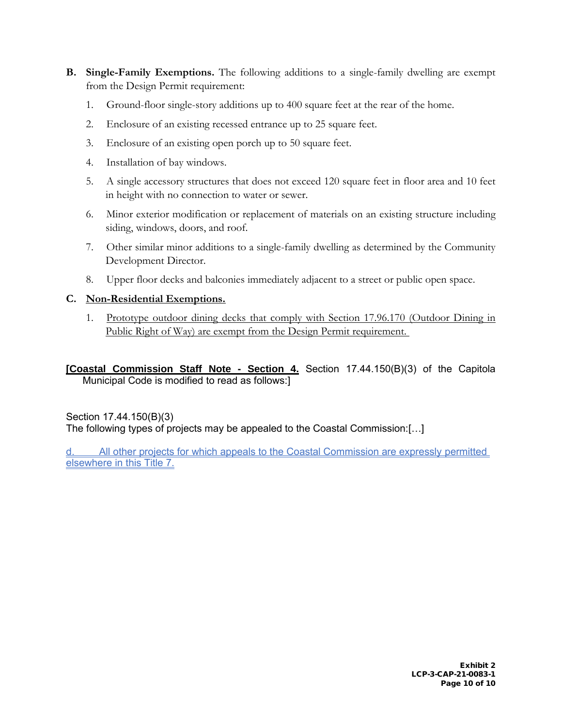- **B. Single-Family Exemptions.** The following additions to a single-family dwelling are exempt from the Design Permit requirement:
	- 1. Ground-floor single-story additions up to 400 square feet at the rear of the home.
	- 2. Enclosure of an existing recessed entrance up to 25 square feet.
	- 3. Enclosure of an existing open porch up to 50 square feet.
	- 4. Installation of bay windows.
	- 5. A single accessory structures that does not exceed 120 square feet in floor area and 10 feet in height with no connection to water or sewer.
	- 6. Minor exterior modification or replacement of materials on an existing structure including siding, windows, doors, and roof.
	- 7. Other similar minor additions to a single-family dwelling as determined by the Community Development Director.
	- 8. Upper floor decks and balconies immediately adjacent to a street or public open space.

### **C. Non-Residential Exemptions.**

1. Prototype outdoor dining decks that comply with Section 17.96.170 (Outdoor Dining in Public Right of Way) are exempt from the Design Permit requirement.

**[Coastal Commission Staff Note - Section 4.** Section 17.44.150(B)(3) of the Capitola Municipal Code is modified to read as follows:]

#### Section 17.44.150(B)(3)

The following types of projects may be appealed to the Coastal Commission:[…]

All other projects for which appeals to the Coastal Commission are expressly permitted elsewhere in this Title 7.